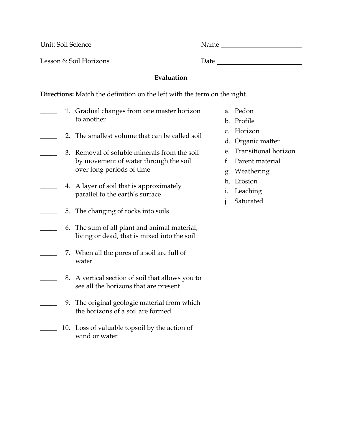Unit: Soil Science Name

Lesson 6: Soil Horizons Date

## **Evaluation**

**Directions:** Match the definition on the left with the term on the right.

- 1. Gradual changes from one master horizon to another 2. The smallest volume that can be called soil \_\_\_\_\_ 3. Removal of soluble minerals from the soil by movement of water through the soil over long periods of time 4. A layer of soil that is approximately parallel to the earth's surface 5. The changing of rocks into soils \_\_\_\_\_ 6. The sum of all plant and animal material, living or dead, that is mixed into the soil 7. When all the pores of a soil are full of water \_\_\_\_\_ 8. A vertical section of soil that allows you to see all the horizons that are present 9. The original geologic material from which the horizons of a soil are formed
- \_\_\_\_\_ 10. Loss of valuable topsoil by the action of wind or water
- a. Pedon
- b. Profile
- c. Horizon
- d. Organic matter
- e. Transitional horizon
- f. Parent material
- g. Weathering
- h. Erosion
- i. Leaching
- j. Saturated